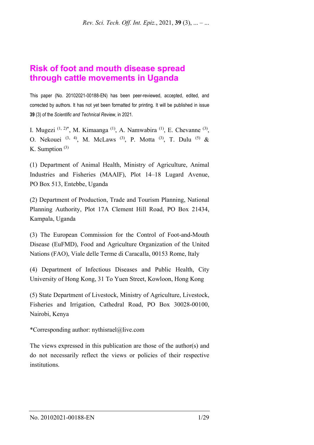# **Risk of foot and mouth disease spread through cattle movements in Uganda**

This paper (No. 20102021-00188-EN) has been peer-reviewed, accepted, edited, and corrected by authors. It has not yet been formatted for printing. It will be published in issue **39** (3) of the *Scientific and Technical Review*, in 2021*.*

I. Mugezi  $(1, 2)^*$ , M. Kimaanga  $(1)$ , A. Namwabira  $(1)$ , E. Chevanne  $(3)$ , O. Nekouei (3, 4), M. McLaws (3), P. Motta (3), T. Dulu (5) & K. Sumption (3)

(1) Department of Animal Health, Ministry of Agriculture, Animal Industries and Fisheries (MAAIF), Plot 14–18 Lugard Avenue, PO Box 513, Entebbe, Uganda

(2) Department of Production, Trade and Tourism Planning, National Planning Authority, Plot 17A Clement Hill Road, PO Box 21434, Kampala, Uganda

(3) The European Commission for the Control of Foot-and-Mouth Disease (EuFMD), Food and Agriculture Organization of the United Nations (FAO), Viale delle Terme di Caracalla, 00153 Rome, Italy

(4) Department of Infectious Diseases and Public Health, City University of Hong Kong, 31 To Yuen Street, Kowloon, Hong Kong

(5) State Department of Livestock, Ministry of Agriculture, Livestock, Fisheries and Irrigation, Cathedral Road, PO Box 30028-00100, Nairobi, Kenya

\*Corresponding author: nythisrael@live.com

The views expressed in this publication are those of the author(s) and do not necessarily reflect the views or policies of their respective institutions.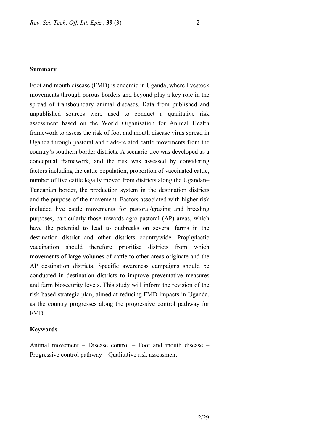#### **Summary**

Foot and mouth disease (FMD) is endemic in Uganda, where livestock movements through porous borders and beyond play a key role in the spread of transboundary animal diseases. Data from published and unpublished sources were used to conduct a qualitative risk assessment based on the World Organisation for Animal Health framework to assess the risk of foot and mouth disease virus spread in Uganda through pastoral and trade-related cattle movements from the country's southern border districts. A scenario tree was developed as a conceptual framework, and the risk was assessed by considering factors including the cattle population, proportion of vaccinated cattle, number of live cattle legally moved from districts along the Ugandan– Tanzanian border, the production system in the destination districts and the purpose of the movement. Factors associated with higher risk included live cattle movements for pastoral/grazing and breeding purposes, particularly those towards agro-pastoral (AP) areas, which have the potential to lead to outbreaks on several farms in the destination district and other districts countrywide. Prophylactic vaccination should therefore prioritise districts from which movements of large volumes of cattle to other areas originate and the AP destination districts. Specific awareness campaigns should be conducted in destination districts to improve preventative measures and farm biosecurity levels. This study will inform the revision of the risk-based strategic plan, aimed at reducing FMD impacts in Uganda, as the country progresses along the progressive control pathway for FMD.

#### **Keywords**

Animal movement – Disease control – Foot and mouth disease – Progressive control pathway – Qualitative risk assessment.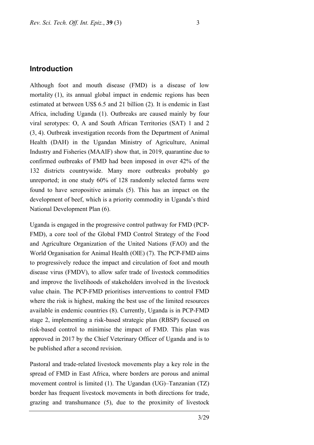## **Introduction**

Although foot and mouth disease (FMD) is a disease of low mortality (1), its annual global impact in endemic regions has been estimated at between US\$ 6.5 and 21 billion (2). It is endemic in East Africa, including Uganda (1). Outbreaks are caused mainly by four viral serotypes: O, A and South African Territories (SAT) 1 and 2 (3, 4). Outbreak investigation records from the Department of Animal Health (DAH) in the Ugandan Ministry of Agriculture, Animal Industry and Fisheries (MAAIF) show that, in 2019, quarantine due to confirmed outbreaks of FMD had been imposed in over 42% of the 132 districts countrywide. Many more outbreaks probably go unreported; in one study 60% of 128 randomly selected farms were found to have seropositive animals (5). This has an impact on the development of beef, which is a priority commodity in Uganda's third National Development Plan (6).

Uganda is engaged in the progressive control pathway for FMD (PCP-FMD), a core tool of the Global FMD Control Strategy of the Food and Agriculture Organization of the United Nations (FAO) and the World Organisation for Animal Health (OIE) (7). The PCP-FMD aims to progressively reduce the impact and circulation of foot and mouth disease virus (FMDV), to allow safer trade of livestock commodities and improve the livelihoods of stakeholders involved in the livestock value chain. The PCP-FMD prioritises interventions to control FMD where the risk is highest, making the best use of the limited resources available in endemic countries (8). Currently, Uganda is in PCP-FMD stage 2, implementing a risk-based strategic plan (RBSP) focused on risk-based control to minimise the impact of FMD. This plan was approved in 2017 by the Chief Veterinary Officer of Uganda and is to be published after a second revision.

Pastoral and trade-related livestock movements play a key role in the spread of FMD in East Africa, where borders are porous and animal movement control is limited (1). The Ugandan (UG)–Tanzanian (TZ) border has frequent livestock movements in both directions for trade, grazing and transhumance (5), due to the proximity of livestock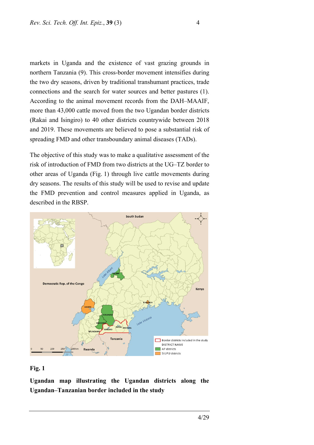markets in Uganda and the existence of vast grazing grounds in northern Tanzania (9). This cross-border movement intensifies during the two dry seasons, driven by traditional transhumant practices, trade connections and the search for water sources and better pastures (1). According to the animal movement records from the DAH–MAAIF, more than 43,000 cattle moved from the two Ugandan border districts (Rakai and Isingiro) to 40 other districts countrywide between 2018 and 2019. These movements are believed to pose a substantial risk of spreading FMD and other transboundary animal diseases (TADs).

The objective of this study was to make a qualitative assessment of the risk of introduction of FMD from two districts at the UG–TZ border to other areas of Uganda (Fig. 1) through live cattle movements during dry seasons. The results of this study will be used to revise and update the FMD prevention and control measures applied in Uganda, as described in the RBSP.



#### **Fig. 1**

**Ugandan map illustrating the Ugandan districts along the Ugandan–Tanzanian border included in the study**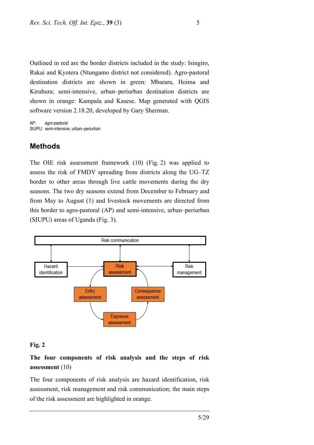Outlined in red are the border districts included in the study: Isingiro, Rakai and Kyotera (Ntungamo district not considered). Agro-pastoral destination districts are shown in green: Mbarara, Hoima and Kiruhura; semi-intensive, urban–periurban destination districts are shown in orange: Kampala and Kasese. Map generated with QGIS software version 2.18.20, developed by Gary Sherman.

AP: agro-pastoral SIUPU: semi-intensive, urban–periurban

## **Methods**

The OIE risk assessment framework (10) (Fig. 2) was applied to assess the risk of FMDV spreading from districts along the UG–TZ border to other areas through live cattle movements during the dry seasons. The two dry seasons extend from December to February and from May to August (1) and livestock movements are directed from this border to agro-pastoral (AP) and semi-intensive, urban–periurban (SIUPU) areas of Uganda (Fig. 3).



## **Fig. 2**

## **The four components of risk analysis and the steps of risk assessment** (10)

The four components of risk analysis are hazard identification, risk assessment, risk management and risk communication; the main steps of the risk assessment are highlighted in orange.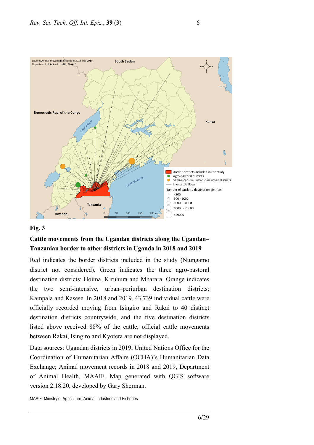

## **Fig. 3**

## **Cattle movements from the Ugandan districts along the Ugandan– Tanzanian border to other districts in Uganda in 2018 and 2019**

Red indicates the border districts included in the study (Ntungamo district not considered). Green indicates the three agro-pastoral destination districts: Hoima, Kiruhura and Mbarara. Orange indicates the two semi-intensive, urban–periurban destination districts: Kampala and Kasese. In 2018 and 2019, 43,739 individual cattle were officially recorded moving from Isingiro and Rakai to 40 distinct destination districts countrywide, and the five destination districts listed above received 88% of the cattle; official cattle movements between Rakai, Isingiro and Kyotera are not displayed.

Data sources: Ugandan districts in 2019, United Nations Office for the Coordination of Humanitarian Affairs (OCHA)'s Humanitarian Data Exchange; Animal movement records in 2018 and 2019, Department of Animal Health, MAAIF. Map generated with QGIS software version 2.18.20, developed by Gary Sherman.

MAAIF: Ministry of Agriculture, Animal Industries and Fisheries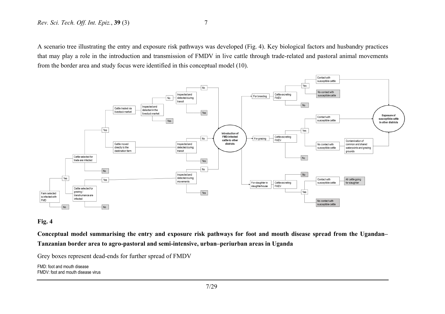A scenario tree illustrating the entry and exposure risk pathways was developed (Fig. 4). Key biological factors and husbandry practices that may play a role in the introduction and transmission of FMDV in live cattle through trade-related and pastoral animal movements from the border area and study focus were identified in this conceptual model (10).



## **Fig. 4**

**Conceptual model summarising the entry and exposure risk pathways for foot and mouth disease spread from the Ugandan– Tanzanian border area to agro-pastoral and semi-intensive, urban–periurban areas in Uganda**

Grey boxes represent dead-ends for further spread of FMDV

FMD: foot and mouth disease FMDV: foot and mouth disease virus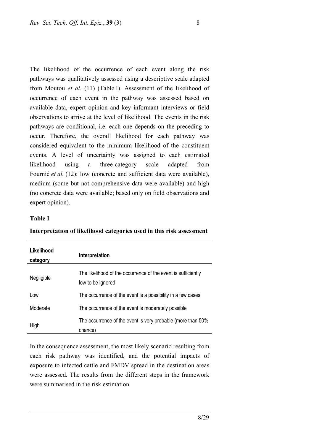The likelihood of the occurrence of each event along the risk pathways was qualitatively assessed using a descriptive scale adapted from Moutou *et al.* (11) (Table I). Assessment of the likelihood of occurrence of each event in the pathway was assessed based on available data, expert opinion and key informant interviews or field observations to arrive at the level of likelihood. The events in the risk pathways are conditional, i.e. each one depends on the preceding to occur. Therefore, the overall likelihood for each pathway was considered equivalent to the minimum likelihood of the constituent events. A level of uncertainty was assigned to each estimated likelihood using a three-category scale adapted from Fournié *et al.* (12): low (concrete and sufficient data were available), medium (some but not comprehensive data were available) and high (no concrete data were available; based only on field observations and expert opinion).

#### **Table I**

| Likelihood<br>category | Interpretation                                                                     |
|------------------------|------------------------------------------------------------------------------------|
| Negligible             | The likelihood of the occurrence of the event is sufficiently<br>low to be ignored |
| Low                    | The occurrence of the event is a possibility in a few cases                        |
| Moderate               | The occurrence of the event is moderately possible                                 |
| High                   | The occurrence of the event is very probable (more than 50%<br>chance)             |

**Interpretation of likelihood categories used in this risk assessment**

In the consequence assessment, the most likely scenario resulting from each risk pathway was identified, and the potential impacts of exposure to infected cattle and FMDV spread in the destination areas were assessed. The results from the different steps in the framework were summarised in the risk estimation.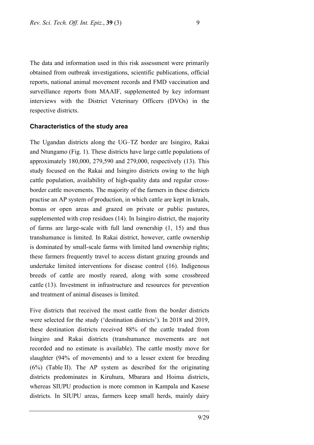The data and information used in this risk assessment were primarily obtained from outbreak investigations, scientific publications, official reports, national animal movement records and FMD vaccination and surveillance reports from MAAIF, supplemented by key informant interviews with the District Veterinary Officers (DVOs) in the respective districts.

#### **Characteristics of the study area**

The Ugandan districts along the UG–TZ border are Isingiro, Rakai and Ntungamo (Fig. 1). These districts have large cattle populations of approximately 180,000, 279,590 and 279,000, respectively (13). This study focused on the Rakai and Isingiro districts owing to the high cattle population, availability of high-quality data and regular crossborder cattle movements. The majority of the farmers in these districts practise an AP system of production, in which cattle are kept in kraals, bomas or open areas and grazed on private or public pastures, supplemented with crop residues (14). In Isingiro district, the majority of farms are large-scale with full land ownership (1, 15) and thus transhumance is limited. In Rakai district, however, cattle ownership is dominated by small-scale farms with limited land ownership rights; these farmers frequently travel to access distant grazing grounds and undertake limited interventions for disease control (16). Indigenous breeds of cattle are mostly reared, along with some crossbreed cattle (13). Investment in infrastructure and resources for prevention and treatment of animal diseases is limited.

Five districts that received the most cattle from the border districts were selected for the study ('destination districts'). In 2018 and 2019, these destination districts received 88% of the cattle traded from Isingiro and Rakai districts (transhumance movements are not recorded and no estimate is available). The cattle mostly move for slaughter (94% of movements) and to a lesser extent for breeding (6%) (Table II). The AP system as described for the originating districts predominates in Kiruhura, Mbarara and Hoima districts, whereas SIUPU production is more common in Kampala and Kasese districts. In SIUPU areas, farmers keep small herds, mainly dairy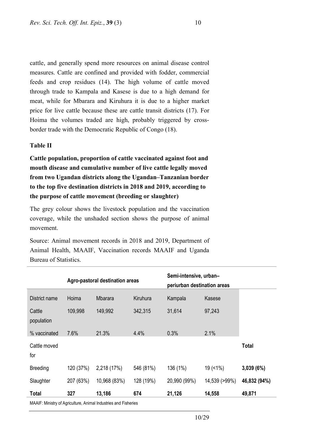cattle, and generally spend more resources on animal disease control measures. Cattle are confined and provided with fodder, commercial feeds and crop residues (14). The high volume of cattle moved through trade to Kampala and Kasese is due to a high demand for meat, while for Mbarara and Kiruhura it is due to a higher market price for live cattle because these are cattle transit districts (17). For Hoima the volumes traded are high, probably triggered by crossborder trade with the Democratic Republic of Congo (18).

#### **Table II**

**Cattle population, proportion of cattle vaccinated against foot and mouth disease and cumulative number of live cattle legally moved from two Ugandan districts along the Ugandan–Tanzanian border to the top five destination districts in 2018 and 2019, according to the purpose of cattle movement (breeding or slaughter)**

The grey colour shows the livestock population and the vaccination coverage, while the unshaded section shows the purpose of animal movement.

Source: Animal movement records in 2018 and 2019, Department of Animal Health, MAAIF, Vaccination records MAAIF and Uganda Bureau of Statistics.

|                      | Agro-pastoral destination areas |              | Semi-intensive, urban-<br>periurban destination areas |              |               |              |
|----------------------|---------------------------------|--------------|-------------------------------------------------------|--------------|---------------|--------------|
| District name        | Hoima                           | Mbarara      | Kiruhura                                              | Kampala      | Kasese        |              |
| Cattle<br>population | 109,998                         | 149,992      | 342,315                                               | 31,614       | 97,243        |              |
| % vaccinated         | 7.6%                            | 21.3%        | 4.4%                                                  | 0.3%         | 2.1%          |              |
| Cattle moved<br>for  |                                 |              |                                                       |              |               | <b>Total</b> |
| <b>Breeding</b>      | 120 (37%)                       | 2,218 (17%)  | 546 (81%)                                             | 136 (1%)     | 19(1%)        | 3,039 (6%)   |
| Slaughter            | 207 (63%)                       | 10,968 (83%) | 128 (19%)                                             | 20,990 (99%) | 14,539 (>99%) | 46,832 (94%) |
| <b>Total</b>         | 327                             | 13,186       | 674                                                   | 21,126       | 14,558        | 49,871       |

MAAIF: Ministry of Agriculture, Animal Industries and Fisheries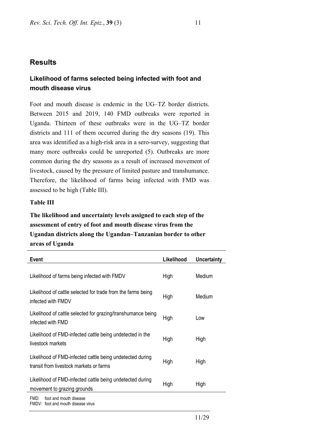## **Results**

# **Likelihood of farms selected being infected with foot and mouth disease virus**

Foot and mouth disease is endemic in the UG–TZ border districts. Between 2015 and 2019, 140 FMD outbreaks were reported in Uganda. Thirteen of these outbreaks were in the UG–TZ border districts and 111 of them occurred during the dry seasons (19). This area was identified as a high-risk area in a sero-survey, suggesting that many more outbreaks could be unreported (5). Outbreaks are more common during the dry seasons as a result of increased movement of livestock, caused by the pressure of limited pasture and transhumance. Therefore, the likelihood of farms being infected with FMD was assessed to be high (Table III).

## **Table III**

# **The likelihood and uncertainty levels assigned to each step of the assessment of entry of foot and mouth disease virus from the Ugandan districts along the Ugandan–Tanzanian border to other areas of Uganda**

| <b>Event</b>                                                                                         | Likelihood | <b>Uncertainty</b> |
|------------------------------------------------------------------------------------------------------|------------|--------------------|
| Likelihood of farms being infected with FMDV                                                         | High       | Medium             |
| Likelihood of cattle selected for trade from the farms being<br>infected with FMDV                   | High       | Medium             |
| Likelihood of cattle selected for grazing/transhumance being<br>infected with FMD                    | High       | Low                |
| Likelihood of FMD-infected cattle being undetected in the<br>livestock markets                       | High       | High               |
| Likelihood of FMD-infected cattle being undetected during<br>transit from livestock markets or farms | High       | High               |
| Likelihood of FMD-infected cattle being undetected during<br>movement to grazing grounds             | High       | High               |
| FMD:<br>foot and mouth disease<br>FMDV: foot and mouth disease virus                                 |            |                    |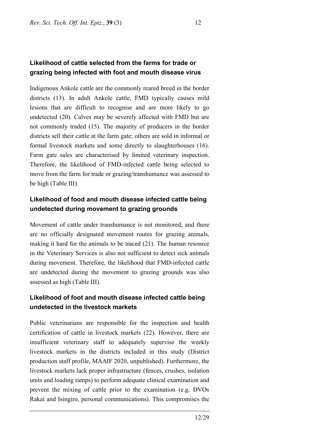# **Likelihood of cattle selected from the farms for trade or grazing being infected with foot and mouth disease virus**

Indigenous Ankole cattle are the commonly reared breed in the border districts (13). In adult Ankole cattle, FMD typically causes mild lesions that are difficult to recognise and are more likely to go undetected (20). Calves may be severely affected with FMD but are not commonly traded (15). The majority of producers in the border districts sell their cattle at the farm gate; others are sold in informal or formal livestock markets and some directly to slaughterhouses (16). Farm gate sales are characterised by limited veterinary inspection. Therefore, the likelihood of FMD-infected cattle being selected to move from the farm for trade or grazing/transhumance was assessed to be high (Table III).

## **Likelihood of food and mouth disease infected cattle being undetected during movement to grazing grounds**

Movement of cattle under transhumance is not monitored, and there are no officially designated movement routes for grazing animals, making it hard for the animals to be traced (21). The human resource in the Veterinary Services is also not sufficient to detect sick animals during movement. Therefore, the likelihood that FMD-infected cattle are undetected during the movement to grazing grounds was also assessed as high (Table III).

## **Likelihood of foot and mouth disease infected cattle being undetected in the livestock markets**

Public veterinarians are responsible for the inspection and health certification of cattle in livestock markets (22). However, there are insufficient veterinary staff to adequately supervise the weekly livestock markets in the districts included in this study (District production staff profile, MAAIF 2020, unpublished). Furthermore, the livestock markets lack proper infrastructure (fences, crushes, isolation units and loading ramps) to perform adequate clinical examination and prevent the mixing of cattle prior to the examination (e.g. DVOs Rakai and Isingiro, personal communications). This compromises the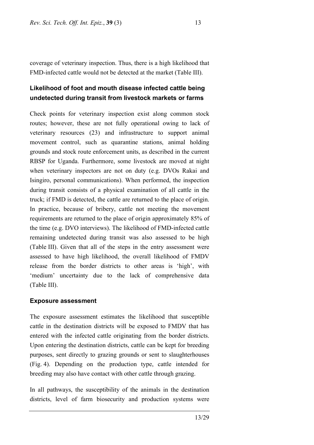coverage of veterinary inspection. Thus, there is a high likelihood that FMD-infected cattle would not be detected at the market (Table III).

# **Likelihood of foot and mouth disease infected cattle being undetected during transit from livestock markets or farms**

Check points for veterinary inspection exist along common stock routes; however, these are not fully operational owing to lack of veterinary resources (23) and infrastructure to support animal movement control, such as quarantine stations, animal holding grounds and stock route enforcement units, as described in the current RBSP for Uganda. Furthermore, some livestock are moved at night when veterinary inspectors are not on duty (e.g. DVOs Rakai and Isingiro, personal communications). When performed, the inspection during transit consists of a physical examination of all cattle in the truck; if FMD is detected, the cattle are returned to the place of origin. In practice, because of bribery, cattle not meeting the movement requirements are returned to the place of origin approximately 85% of the time (e.g. DVO interviews). The likelihood of FMD-infected cattle remaining undetected during transit was also assessed to be high (Table III). Given that all of the steps in the entry assessment were assessed to have high likelihood, the overall likelihood of FMDV release from the border districts to other areas is 'high', with 'medium' uncertainty due to the lack of comprehensive data (Table III).

#### **Exposure assessment**

The exposure assessment estimates the likelihood that susceptible cattle in the destination districts will be exposed to FMDV that has entered with the infected cattle originating from the border districts. Upon entering the destination districts, cattle can be kept for breeding purposes, sent directly to grazing grounds or sent to slaughterhouses (Fig. 4). Depending on the production type, cattle intended for breeding may also have contact with other cattle through grazing.

In all pathways, the susceptibility of the animals in the destination districts, level of farm biosecurity and production systems were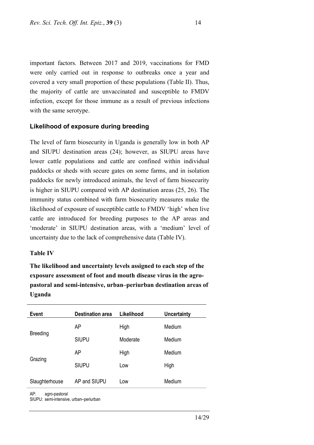important factors. Between 2017 and 2019, vaccinations for FMD were only carried out in response to outbreaks once a year and covered a very small proportion of these populations (Table II). Thus, the majority of cattle are unvaccinated and susceptible to FMDV infection, except for those immune as a result of previous infections with the same serotype.

## **Likelihood of exposure during breeding**

The level of farm biosecurity in Uganda is generally low in both AP and SIUPU destination areas (24); however, as SIUPU areas have lower cattle populations and cattle are confined within individual paddocks or sheds with secure gates on some farms, and in isolation paddocks for newly introduced animals, the level of farm biosecurity is higher in SIUPU compared with AP destination areas (25, 26). The immunity status combined with farm biosecurity measures make the likelihood of exposure of susceptible cattle to FMDV 'high' when live cattle are introduced for breeding purposes to the AP areas and 'moderate' in SIUPU destination areas, with a 'medium' level of uncertainty due to the lack of comprehensive data (Table IV).

#### **Table IV**

**The likelihood and uncertainty levels assigned to each step of the exposure assessment of foot and mouth disease virus in the agropastoral and semi-intensive, urban–periurban destination areas of Uganda**

| <b>Event</b>    | <b>Destination area</b> | Likelihood | <b>Uncertainty</b> |
|-----------------|-------------------------|------------|--------------------|
|                 | AP                      | High       | Medium             |
| <b>Breeding</b> | <b>SIUPU</b>            | Moderate   | Medium             |
| Grazing         | AP                      | High       | Medium             |
|                 | <b>SIUPU</b>            | Low        | High               |
| Slaughterhouse  | AP and SIUPU            | Low        | Medium             |

AP: agro-pastoral

SIUPU: semi-intensive, urban–periurban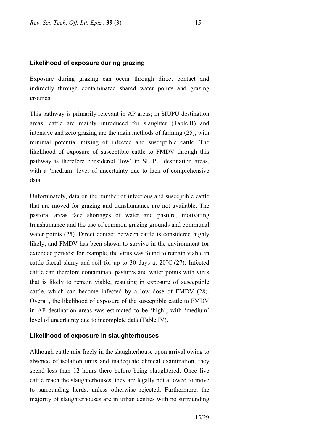## **Likelihood of exposure during grazing**

Exposure during grazing can occur through direct contact and indirectly through contaminated shared water points and grazing grounds.

This pathway is primarily relevant in AP areas; in SIUPU destination areas, cattle are mainly introduced for slaughter (Table II) and intensive and zero grazing are the main methods of farming (25), with minimal potential mixing of infected and susceptible cattle. The likelihood of exposure of susceptible cattle to FMDV through this pathway is therefore considered 'low' in SIUPU destination areas, with a 'medium' level of uncertainty due to lack of comprehensive data.

Unfortunately, data on the number of infectious and susceptible cattle that are moved for grazing and transhumance are not available. The pastoral areas face shortages of water and pasture, motivating transhumance and the use of common grazing grounds and communal water points (25). Direct contact between cattle is considered highly likely, and FMDV has been shown to survive in the environment for extended periods; for example, the virus was found to remain viable in cattle faecal slurry and soil for up to 30 days at 20°C (27). Infected cattle can therefore contaminate pastures and water points with virus that is likely to remain viable, resulting in exposure of susceptible cattle, which can become infected by a low dose of FMDV (28). Overall, the likelihood of exposure of the susceptible cattle to FMDV in AP destination areas was estimated to be 'high', with 'medium' level of uncertainty due to incomplete data (Table IV).

#### **Likelihood of exposure in slaughterhouses**

Although cattle mix freely in the slaughterhouse upon arrival owing to absence of isolation units and inadequate clinical examination, they spend less than 12 hours there before being slaughtered. Once live cattle reach the slaughterhouses, they are legally not allowed to move to surrounding herds, unless otherwise rejected. Furthermore, the majority of slaughterhouses are in urban centres with no surrounding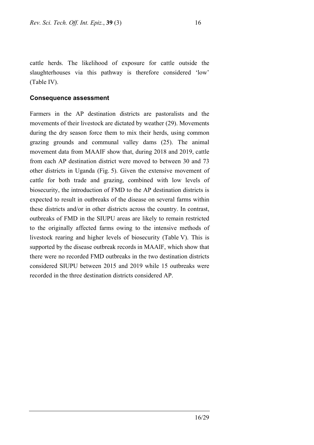cattle herds. The likelihood of exposure for cattle outside the slaughterhouses via this pathway is therefore considered 'low' (Table IV).

#### **Consequence assessment**

Farmers in the AP destination districts are pastoralists and the movements of their livestock are dictated by weather (29). Movements during the dry season force them to mix their herds, using common grazing grounds and communal valley dams (25). The animal movement data from MAAIF show that, during 2018 and 2019, cattle from each AP destination district were moved to between 30 and 73 other districts in Uganda (Fig. 5). Given the extensive movement of cattle for both trade and grazing, combined with low levels of biosecurity, the introduction of FMD to the AP destination districts is expected to result in outbreaks of the disease on several farms within these districts and/or in other districts across the country. In contrast, outbreaks of FMD in the SIUPU areas are likely to remain restricted to the originally affected farms owing to the intensive methods of livestock rearing and higher levels of biosecurity (Table V). This is supported by the disease outbreak records in MAAIF, which show that there were no recorded FMD outbreaks in the two destination districts considered SIUPU between 2015 and 2019 while 15 outbreaks were recorded in the three destination districts considered AP.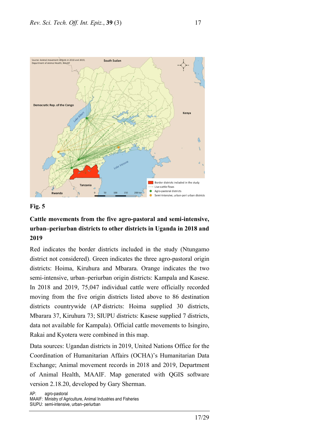

#### **Fig. 5**

# **Cattle movements from the five agro-pastoral and semi-intensive, urban–periurban districts to other districts in Uganda in 2018 and 2019**

Red indicates the border districts included in the study (Ntungamo district not considered). Green indicates the three agro-pastoral origin districts: Hoima, Kiruhura and Mbarara. Orange indicates the two semi-intensive, urban–periurban origin districts: Kampala and Kasese. In 2018 and 2019, 75,047 individual cattle were officially recorded moving from the five origin districts listed above to 86 destination districts countrywide (AP districts: Hoima supplied 30 districts, Mbarara 37, Kiruhura 73; SIUPU districts: Kasese supplied 7 districts, data not available for Kampala). Official cattle movements to Isingiro, Rakai and Kyotera were combined in this map.

Data sources: Ugandan districts in 2019, United Nations Office for the Coordination of Humanitarian Affairs (OCHA)'s Humanitarian Data Exchange; Animal movement records in 2018 and 2019, Department of Animal Health, MAAIF. Map generated with QGIS software version 2.18.20, developed by Gary Sherman.

AP: agro-pastoral MAAIF: Ministry of Agriculture, Animal Industries and Fisheries SIUPU: semi-intensive, urban–periurban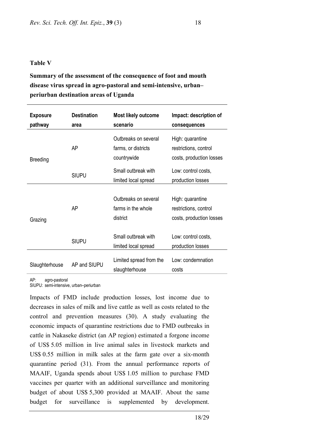#### **Table V**

**Summary of the assessment of the consequence of foot and mouth disease virus spread in agro-pastoral and semi-intensive, urban– periurban destination areas of Uganda**

| <b>Exposure</b><br>pathway | <b>Destination</b><br>area | <b>Most likely outcome</b><br>scenario                     | Impact: description of<br>consequences                                |
|----------------------------|----------------------------|------------------------------------------------------------|-----------------------------------------------------------------------|
| <b>Breeding</b>            | AP                         | Outbreaks on several<br>farms, or districts<br>countrywide | High: quarantine<br>restrictions, control<br>costs, production losses |
|                            | <b>SIUPU</b>               | Small outbreak with<br>limited local spread                | Low: control costs,<br>production losses                              |
| Grazing                    | AP                         | Outbreaks on several<br>farms in the whole<br>district     | High: quarantine<br>restrictions, control<br>costs, production losses |
|                            | <b>SIUPU</b>               | Small outbreak with<br>limited local spread                | Low: control costs,<br>production losses                              |
| Slaughterhouse             | AP and SIUPU               | Limited spread from the<br>slaughterhouse                  | Low: condemnation<br>costs                                            |

AP: agro-pastoral

SIUPU: semi-intensive, urban–periurban

Impacts of FMD include production losses, lost income due to decreases in sales of milk and live cattle as well as costs related to the control and prevention measures (30). A study evaluating the economic impacts of quarantine restrictions due to FMD outbreaks in cattle in Nakaseke district (an AP region) estimated a forgone income of US\$ 5.05 million in live animal sales in livestock markets and US\$ 0.55 million in milk sales at the farm gate over a six-month quarantine period (31). From the annual performance reports of MAAIF, Uganda spends about US\$ 1.05 million to purchase FMD vaccines per quarter with an additional surveillance and monitoring budget of about US\$ 5,300 provided at MAAIF. About the same budget for surveillance is supplemented by development.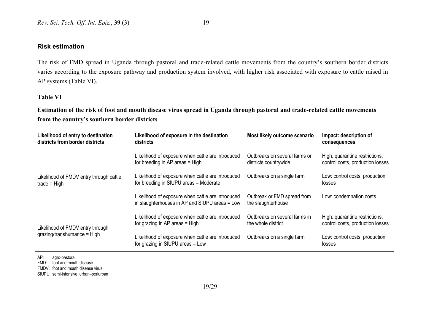## **Risk estimation**

The risk of FMD spread in Uganda through pastoral and trade-related cattle movements from the country's southern border districts varies according to the exposure pathway and production system involved, with higher risk associated with exposure to cattle raised in AP systems (Table VI).

## **Table VI**

**Estimation of the risk of foot and mouth disease virus spread in Uganda through pastoral and trade-related cattle movements from the country's southern border districts**

| Likelihood of entry to destination<br>districts from border districts                                                                  | Likelihood of exposure in the destination<br>Most likely outcome scenario<br>districts              |                                                        | Impact: description of<br>consequences                             |
|----------------------------------------------------------------------------------------------------------------------------------------|-----------------------------------------------------------------------------------------------------|--------------------------------------------------------|--------------------------------------------------------------------|
|                                                                                                                                        | Likelihood of exposure when cattle are introduced<br>for breeding in AP areas = High                | Outbreaks on several farms or<br>districts countrywide | High: quarantine restrictions,<br>control costs, production losses |
| Likelihood of FMDV entry through cattle<br>trade = $High$                                                                              | Likelihood of exposure when cattle are introduced<br>for breeding in SIUPU areas = Moderate         | Outbreaks on a single farm                             | Low: control costs, production<br>losses                           |
|                                                                                                                                        | Likelihood of exposure when cattle are introduced<br>in slaughterhouses in AP and SIUPU areas = Low | Outbreak or FMD spread from<br>the slaughterhouse      | Low: condemnation costs                                            |
| Likelihood of FMDV entry through<br>$grazing/transhumance = High$                                                                      | Likelihood of exposure when cattle are introduced<br>for grazing in AP areas = High                 | Outbreaks on several farms in<br>the whole district    | High: quarantine restrictions,<br>control costs, production losses |
|                                                                                                                                        | Likelihood of exposure when cattle are introduced<br>for grazing in SIUPU areas = Low               | Outbreaks on a single farm                             | Low: control costs, production<br>losses                           |
| AP:<br>agro-pastoral<br>foot and mouth disease<br>FMD:<br>FMDV: foot and mouth disease virus<br>SIUPU: semi-intensive, urban-periurban |                                                                                                     |                                                        |                                                                    |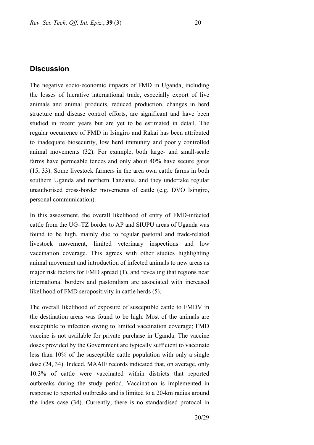## **Discussion**

The negative socio-economic impacts of FMD in Uganda, including the losses of lucrative international trade, especially export of live animals and animal products, reduced production, changes in herd structure and disease control efforts, are significant and have been studied in recent years but are yet to be estimated in detail. The regular occurrence of FMD in Isingiro and Rakai has been attributed to inadequate biosecurity, low herd immunity and poorly controlled animal movements (32). For example, both large- and small-scale farms have permeable fences and only about 40% have secure gates (15, 33). Some livestock farmers in the area own cattle farms in both southern Uganda and northern Tanzania, and they undertake regular unauthorised cross-border movements of cattle (e.g. DVO Isingiro, personal communication).

In this assessment, the overall likelihood of entry of FMD-infected cattle from the UG–TZ border to AP and SIUPU areas of Uganda was found to be high, mainly due to regular pastoral and trade-related livestock movement, limited veterinary inspections and low vaccination coverage. This agrees with other studies highlighting animal movement and introduction of infected animals to new areas as major risk factors for FMD spread (1), and revealing that regions near international borders and pastoralism are associated with increased likelihood of FMD seropositivity in cattle herds (5).

The overall likelihood of exposure of susceptible cattle to FMDV in the destination areas was found to be high. Most of the animals are susceptible to infection owing to limited vaccination coverage; FMD vaccine is not available for private purchase in Uganda. The vaccine doses provided by the Government are typically sufficient to vaccinate less than 10% of the susceptible cattle population with only a single dose (24, 34). Indeed, MAAIF records indicated that, on average, only 10.3% of cattle were vaccinated within districts that reported outbreaks during the study period. Vaccination is implemented in response to reported outbreaks and is limited to a 20-km radius around the index case (34). Currently, there is no standardised protocol in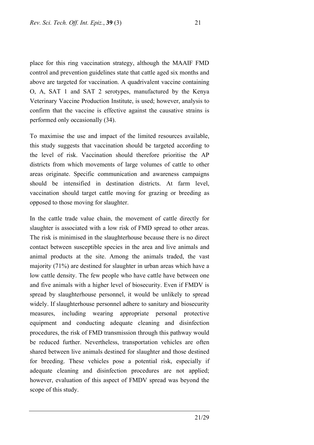place for this ring vaccination strategy, although the MAAIF FMD control and prevention guidelines state that cattle aged six months and above are targeted for vaccination. A quadrivalent vaccine containing O, A, SAT 1 and SAT 2 serotypes, manufactured by the Kenya Veterinary Vaccine Production Institute, is used; however, analysis to confirm that the vaccine is effective against the causative strains is performed only occasionally (34).

To maximise the use and impact of the limited resources available, this study suggests that vaccination should be targeted according to the level of risk. Vaccination should therefore prioritise the AP districts from which movements of large volumes of cattle to other areas originate. Specific communication and awareness campaigns should be intensified in destination districts. At farm level, vaccination should target cattle moving for grazing or breeding as opposed to those moving for slaughter.

In the cattle trade value chain, the movement of cattle directly for slaughter is associated with a low risk of FMD spread to other areas. The risk is minimised in the slaughterhouse because there is no direct contact between susceptible species in the area and live animals and animal products at the site. Among the animals traded, the vast majority (71%) are destined for slaughter in urban areas which have a low cattle density. The few people who have cattle have between one and five animals with a higher level of biosecurity. Even if FMDV is spread by slaughterhouse personnel, it would be unlikely to spread widely. If slaughterhouse personnel adhere to sanitary and biosecurity measures, including wearing appropriate personal protective equipment and conducting adequate cleaning and disinfection procedures, the risk of FMD transmission through this pathway would be reduced further. Nevertheless, transportation vehicles are often shared between live animals destined for slaughter and those destined for breeding. These vehicles pose a potential risk, especially if adequate cleaning and disinfection procedures are not applied; however, evaluation of this aspect of FMDV spread was beyond the scope of this study.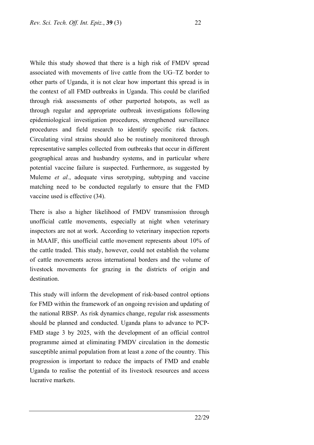While this study showed that there is a high risk of FMDV spread associated with movements of live cattle from the UG–TZ border to other parts of Uganda, it is not clear how important this spread is in the context of all FMD outbreaks in Uganda. This could be clarified through risk assessments of other purported hotspots, as well as through regular and appropriate outbreak investigations following epidemiological investigation procedures, strengthened surveillance procedures and field research to identify specific risk factors. Circulating viral strains should also be routinely monitored through representative samples collected from outbreaks that occur in different geographical areas and husbandry systems, and in particular where potential vaccine failure is suspected. Furthermore, as suggested by Muleme *et al.*, adequate virus serotyping, subtyping and vaccine matching need to be conducted regularly to ensure that the FMD vaccine used is effective (34).

There is also a higher likelihood of FMDV transmission through unofficial cattle movements, especially at night when veterinary inspectors are not at work. According to veterinary inspection reports in MAAIF, this unofficial cattle movement represents about 10% of the cattle traded. This study, however, could not establish the volume of cattle movements across international borders and the volume of livestock movements for grazing in the districts of origin and destination.

This study will inform the development of risk-based control options for FMD within the framework of an ongoing revision and updating of the national RBSP. As risk dynamics change, regular risk assessments should be planned and conducted. Uganda plans to advance to PCP-FMD stage 3 by 2025, with the development of an official control programme aimed at eliminating FMDV circulation in the domestic susceptible animal population from at least a zone of the country. This progression is important to reduce the impacts of FMD and enable Uganda to realise the potential of its livestock resources and access lucrative markets.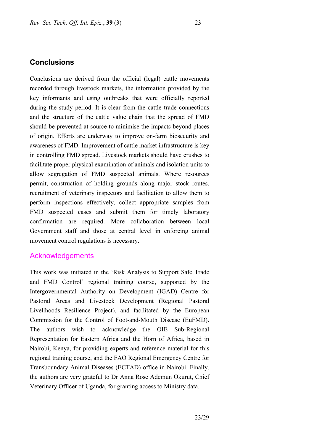## **Conclusions**

Conclusions are derived from the official (legal) cattle movements recorded through livestock markets, the information provided by the key informants and using outbreaks that were officially reported during the study period. It is clear from the cattle trade connections and the structure of the cattle value chain that the spread of FMD should be prevented at source to minimise the impacts beyond places of origin. Efforts are underway to improve on-farm biosecurity and awareness of FMD. Improvement of cattle market infrastructure is key in controlling FMD spread. Livestock markets should have crushes to facilitate proper physical examination of animals and isolation units to allow segregation of FMD suspected animals. Where resources permit, construction of holding grounds along major stock routes, recruitment of veterinary inspectors and facilitation to allow them to perform inspections effectively, collect appropriate samples from FMD suspected cases and submit them for timely laboratory confirmation are required. More collaboration between local Government staff and those at central level in enforcing animal movement control regulations is necessary.

## Acknowledgements

This work was initiated in the 'Risk Analysis to Support Safe Trade and FMD Control' regional training course, supported by the Intergovernmental Authority on Development (IGAD) Centre for Pastoral Areas and Livestock Development (Regional Pastoral Livelihoods Resilience Project), and facilitated by the European Commission for the Control of Foot-and-Mouth Disease (EuFMD). The authors wish to acknowledge the OIE Sub-Regional Representation for Eastern Africa and the Horn of Africa, based in Nairobi, Kenya, for providing experts and reference material for this regional training course, and the FAO Regional Emergency Centre for Transboundary Animal Diseases (ECTAD) office in Nairobi. Finally, the authors are very grateful to Dr Anna Rose Ademun Okurut, Chief Veterinary Officer of Uganda, for granting access to Ministry data.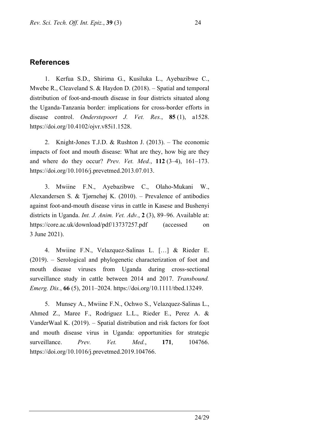# **References**

1. Kerfua S.D., Shirima G., Kusiluka L., Ayebazibwe C., Mwebe R., Cleaveland S. & Haydon D. (2018). – Spatial and temporal distribution of foot-and-mouth disease in four districts situated along the Uganda-Tanzania border: implications for cross-border efforts in disease control. *Onderstepoort J. Vet. Res.*, **85** (1), a1528. https://doi.org/10.4102/ojvr.v85i1.1528.

2. Knight-Jones T.J.D. & Rushton J. (2013). – The economic impacts of foot and mouth disease: What are they, how big are they and where do they occur? *Prev. Vet. Med.*, **112** (3–4), 161–173. https://doi.org/10.1016/j.prevetmed.2013.07.013.

3. Mwiine F.N., Ayebazibwe C., Olaho-Mukani W., Alexandersen S. & Tjørnehøj K. (2010). – Prevalence of antibodies against foot-and-mouth disease virus in cattle in Kasese and Bushenyi districts in Uganda. *Int. J. Anim. Vet. Adv.*, **2** (3), 89–96. Available at: https://core.ac.uk/download/pdf/13737257.pdf (accessed on 3 June 2021).

4. Mwiine F.N., Velazquez-Salinas L. […] & Rieder E. (2019). – Serological and phylogenetic characterization of foot and mouth disease viruses from Uganda during cross-sectional surveillance study in cattle between 2014 and 2017. *Transbound. Emerg. Dis.*, **66** (5), 2011–2024. https://doi.org/10.1111/tbed.13249.

5. Munsey A., Mwiine F.N., Ochwo S., Velazquez-Salinas L., Ahmed Z., Maree F., Rodriguez L.L., Rieder E., Perez A. & VanderWaal K. (2019). – Spatial distribution and risk factors for foot and mouth disease virus in Uganda: opportunities for strategic surveillance. *Prev. Vet. Med.*, **171**, 104766. [https://doi.org/10.1016/j.prevetmed.2019.104766.](https://doi.org/10.1016/j.prevetmed.2019.104766)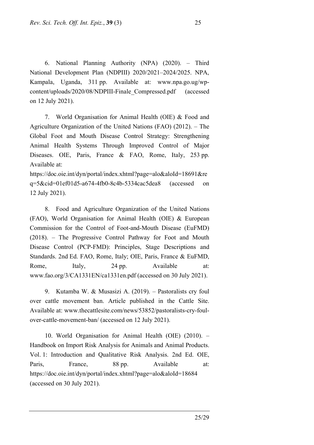6. National Planning Authority (NPA) (2020). – Third National Development Plan (NDPIII) 2020/2021–2024/2025. NPA, Kampala, Uganda, 311 pp. Available at: www.npa.go.ug/wpcontent/uploads/2020/08/NDPIII-Finale\_Compressed.pdf (accessed on 12 July 2021).

7. World Organisation for Animal Health (OIE) & Food and Agriculture Organization of the United Nations (FAO) (2012). – The Global Foot and Mouth Disease Control Strategy: Strengthening Animal Health Systems Through Improved Control of Major Diseases. OIE, Paris, France & FAO, Rome, Italy, 253 pp. Available at:

https://doc.oie.int/dyn/portal/index.xhtml?page=alo&aloId=18691&re q=5&cid=01ef01d5-a674-4fb0-8c4b-5334cac5dea8 (accessed on 12 July 2021).

8. Food and Agriculture Organization of the United Nations (FAO), World Organisation for Animal Health (OIE) & European Commission for the Control of Foot-and-Mouth Disease (EuFMD) (2018). – The Progressive Control Pathway for Foot and Mouth Disease Control (PCP-FMD): Principles, Stage Descriptions and Standards. 2nd Ed. FAO, Rome, Italy; OIE, Paris, France & EuFMD, Rome, Italy, 24 pp. Available at: www.fao.org/3/CA1331EN/ca1331en.pdf (accessed on 30 July 2021).

9. Kutamba W. & Musasizi A. (2019). – Pastoralists cry foul over cattle movement ban. Article published in the Cattle Site. Available at: www.thecattlesite.com/news/53852/pastoralists-cry-foulover-cattle-movement-ban/ (accessed on 12 July 2021).

10. World Organisation for Animal Health (OIE) (2010). – Handbook on Import Risk Analysis for Animals and Animal Products. Vol. 1: Introduction and Qualitative Risk Analysis. 2nd Ed. OIE, Paris, France, 88 pp. Available at: https://doc.oie.int/dyn/portal/index.xhtml?page=alo&aloId=18684 (accessed on 30 July 2021).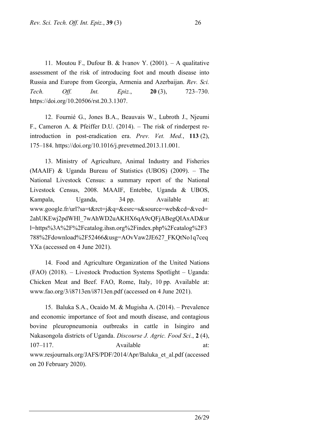11. Moutou F., Dufour B. & Ivanov Y. (2001). – A qualitative assessment of the risk of introducing foot and mouth disease into Russia and Europe from Georgia, Armenia and Azerbaijan. *Rev. Sci. Tech. Off. Int. Epiz.*, **20** (3), 723–730. https://doi.org/10.20506/rst.20.3.1307.

12. Fournié G., Jones B.A., Beauvais W., Lubroth J., Njeumi F., Cameron A. & Pfeiffer D.U. (2014). – The risk of rinderpest reintroduction in post-eradication era. *Prev. Vet. Med.*, **113** (2), 175–184. https://doi.org/10.1016/j.prevetmed.2013.11.001.

13. Ministry of Agriculture, Animal Industry and Fisheries (MAAIF) & Uganda Bureau of Statistics (UBOS) (2009). – The National Livestock Census: a summary report of the National Livestock Census, 2008. MAAIF, Entebbe, Uganda & UBOS, Kampala, Uganda, 34 pp. Available at: www.google.fr/url?sa=t&rct=j&q=&esrc=s&source=web&cd=&ved= 2ahUKEwj2pdWHl\_7wAhWD2uAKHX6qA9cQFjABegQIAxAD&ur l=https%3A%2F%2Fcatalog.ihsn.org%2Findex.php%2Fcatalog%2F3 788%2Fdownload%2F52466&usg=AOvVaw2JE627\_FKQtNo1q7ceq YXa (accessed on 4 June 2021).

14. Food and Agriculture Organization of the United Nations (FAO) (2018). – Livestock Production Systems Spotlight – Uganda: Chicken Meat and Beef. FAO, Rome, Italy, 10 pp. Available at: www.fao.org/3/i8713en/i8713en.pdf (accessed on 4 June 2021).

15. Baluka S.A., Ocaido M. & Mugisha A. (2014). – Prevalence and economic importance of foot and mouth disease, and contagious bovine pleuropneumonia outbreaks in cattle in Isingiro and Nakasongola districts of Uganda. *Discourse J. Agric. Food Sci.*, **2** (4), 107–117. Available at: www.resjournals.org/JAFS/PDF/2014/Apr/Baluka\_et\_al.pdf (accessed on 20 February 2020).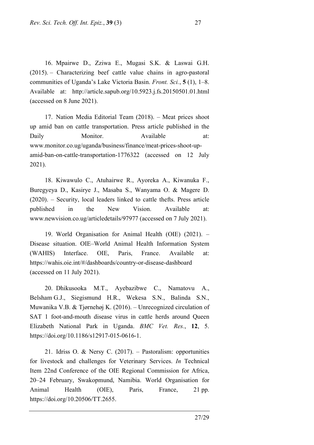16. Mpairwe D., Zziwa E., Mugasi S.K. & Laswai G.H. (2015). – Characterizing beef cattle value chains in agro-pastoral communities of Uganda's Lake Victoria Basin. *Front. Sci.*, **5** (1), 1–8. Available at: http://article.sapub.org/10.5923.j.fs.20150501.01.html (accessed on 8 June 2021).

17. Nation Media Editorial Team (2018). – Meat prices shoot up amid ban on cattle transportation. Press article published in the Daily Monitor. Available at: www.monitor.co.ug/uganda/business/finance/meat-prices-shoot-upamid-ban-on-cattle-transportation-1776322 (accessed on 12 July 2021).

18. Kiwawulo C., Atuhairwe R., Ayoreka A., Kiwanuka F., Buregyeya D., Kasirye J., Masaba S., Wanyama O. & Magere D. (2020). – Security, local leaders linked to cattle thefts. Press article published in the New Vision. Available at: www.newvision.co.ug/articledetails/97977 (accessed on 7 July 2021).

19. World Organisation for Animal Health (OIE) (2021). – Disease situation. OIE–World Animal Health Information System (WAHIS) Interface. OIE, Paris, France. Available at: https://wahis.oie.int/#/dashboards/country-or-disease-dashboard (accessed on 11 July 2021).

20. Dhikusooka M.T., Ayebazibwe C., Namatovu A., Belsham G.J., Siegismund H.R., Wekesa S.N., Balinda S.N., Muwanika V.B. & Tjørnehøj K. (2016). – Unrecognized circulation of SAT 1 foot-and-mouth disease virus in cattle herds around Queen Elizabeth National Park in Uganda. *BMC Vet. Res.*, **12**, 5. https://doi.org/10.1186/s12917-015-0616-1.

21. Idriss O. & Nersy C. (2017). – Pastoralism: opportunities for livestock and challenges for Veterinary Services. *In* Technical Item 22nd Conference of the OIE Regional Commission for Africa, 20–24 February, Swakopmund, Namibia. World Organisation for Animal Health (OIE), Paris, France, 21 pp. [https://doi.org/10.20506/TT.2655.](https://doi.org/10.20506/TT.2655)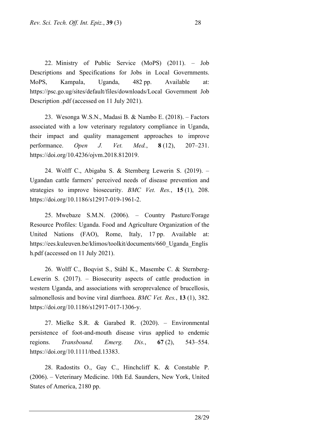22. Ministry of Public Service (MoPS) (2011). – Job Descriptions and Specifications for Jobs in Local Governments. MoPS, Kampala, Uganda, 482 pp. Available at: https://psc.go.ug/sites/default/files/downloads/Local Government Job Description .pdf (accessed on 11 July 2021).

23. Wesonga W.S.N., Madasi B. & Nambo E. (2018). – Factors associated with a low veterinary regulatory compliance in Uganda, their impact and quality management approaches to improve performance. *Open J. Vet. Med.*, **8** (12), 207–231. https://doi.org/10.4236/ojvm.2018.812019.

24. Wolff C., Abigaba S. & Sternberg Lewerin S. (2019). – Ugandan cattle farmers' perceived needs of disease prevention and strategies to improve biosecurity. *BMC Vet. Res.*, **15** (1), 208. https://doi.org/10.1186/s12917-019-1961-2.

25. Mwebaze S.M.N. (2006). – Country Pasture/Forage Resource Profiles: Uganda. Food and Agriculture Organization of the United Nations (FAO), Rome, Italy, 17 pp. Available at: https://ees.kuleuven.be/klimos/toolkit/documents/660\_Uganda\_Englis h.pdf (accessed on 11 July 2021).

26. Wolff C., Boqvist S., Ståhl K., Masembe C. & Sternberg-Lewerin S. (2017). – Biosecurity aspects of cattle production in western Uganda, and associations with seroprevalence of brucellosis, salmonellosis and bovine viral diarrhoea. *BMC Vet. Res.*, **13** (1), 382. https://doi.org/10.1186/s12917-017-1306-y.

27. Mielke S.R. & Garabed R. (2020). – Environmental persistence of foot-and-mouth disease virus applied to endemic regions. *Transbound. Emerg. Dis.*, **67** (2), 543–554. https://doi.org/10.1111/tbed.13383.

28. Radostits O., Gay C., Hinchcliff K. & Constable P. (2006). – Veterinary Medicine. 10th Ed. Saunders, New York, United States of America, 2180 pp.